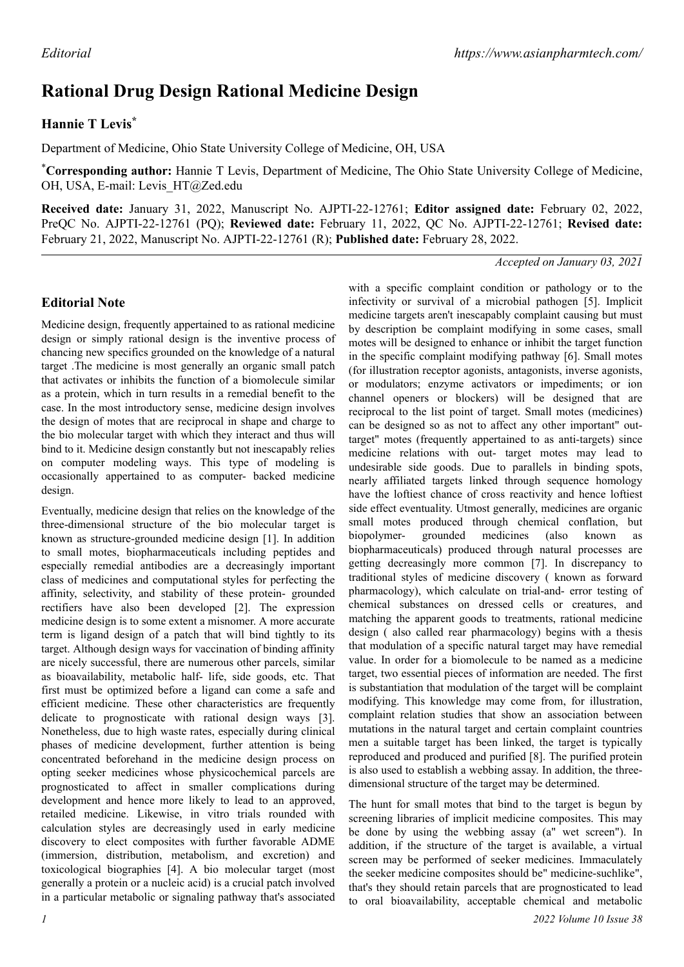# **Rational Drug Design Rational Medicine Design**

## **Hannie T Levis\***

Department of Medicine, Ohio State University College of Medicine, OH, USA

\***Corresponding author:** Hannie T Levis, Department of Medicine, The Ohio State University College of Medicine, OH, USA, E-mail: Levis HT@Zed.edu

**Received date:** January 31, 2022, Manuscript No. AJPTI-22-12761; **Editor assigned date:** February 02, 2022, PreQC No. AJPTI-22-12761 (PQ); **Reviewed date:** February 11, 2022, QC No. AJPTI-22-12761; **Revised date:** February 21, 2022, Manuscript No. AJPTI-22-12761 (R); **Published date:** February 28, 2022.

*Accepted on January 03, 2021*

## **Editorial Note**

Medicine design, frequently appertained to as rational medicine design or simply rational design is the inventive process of chancing new specifics grounded on the knowledge of a natural target .The medicine is most generally an organic small patch that activates or inhibits the function of a biomolecule similar as a protein, which in turn results in a remedial benefit to the case. In the most introductory sense, medicine design involves the design of motes that are reciprocal in shape and charge to the bio molecular target with which they interact and thus will bind to it. Medicine design constantly but not inescapably relies on computer modeling ways. This type of modeling is occasionally appertained to as computer- backed medicine design.

Eventually, medicine design that relies on the knowledge of the three-dimensional structure of the bio molecular target is known as structure-grounded medicine design [1]. In addition to small motes, biopharmaceuticals including peptides and especially remedial antibodies are a decreasingly important class of medicines and computational styles for perfecting the affinity, selectivity, and stability of these protein- grounded rectifiers have also been developed [2]. The expression medicine design is to some extent a misnomer. A more accurate term is ligand design of a patch that will bind tightly to its target. Although design ways for vaccination of binding affinity are nicely successful, there are numerous other parcels, similar as bioavailability, metabolic half- life, side goods, etc. That first must be optimized before a ligand can come a safe and efficient medicine. These other characteristics are frequently delicate to prognosticate with rational design ways [3]. Nonetheless, due to high waste rates, especially during clinical phases of medicine development, further attention is being concentrated beforehand in the medicine design process on opting seeker medicines whose physicochemical parcels are prognosticated to affect in smaller complications during development and hence more likely to lead to an approved, retailed medicine. Likewise, in vitro trials rounded with calculation styles are decreasingly used in early medicine discovery to elect composites with further favorable ADME (immersion, distribution, metabolism, and excretion) and toxicological biographies [4]. A bio molecular target (most generally a protein or a nucleic acid) is a crucial patch involved in a particular metabolic or signaling pathway that's associated

infectivity or survival of a microbial pathogen [5]. Implicit medicine targets aren't inescapably complaint causing but must by description be complaint modifying in some cases, small motes will be designed to enhance or inhibit the target function in the specific complaint modifying pathway [6]. Small motes (for illustration receptor agonists, antagonists, inverse agonists, or modulators; enzyme activators or impediments; or ion channel openers or blockers) will be designed that are reciprocal to the list point of target. Small motes (medicines) can be designed so as not to affect any other important" outtarget" motes (frequently appertained to as anti-targets) since medicine relations with out- target motes may lead to undesirable side goods. Due to parallels in binding spots, nearly affiliated targets linked through sequence homology have the loftiest chance of cross reactivity and hence loftiest side effect eventuality. Utmost generally, medicines are organic small motes produced through chemical conflation, but biopolymer- grounded medicines (also known as biopharmaceuticals) produced through natural processes are getting decreasingly more common [7]. In discrepancy to traditional styles of medicine discovery ( known as forward pharmacology), which calculate on trial-and- error testing of chemical substances on dressed cells or creatures, and matching the apparent goods to treatments, rational medicine design ( also called rear pharmacology) begins with a thesis that modulation of a specific natural target may have remedial value. In order for a biomolecule to be named as a medicine target, two essential pieces of information are needed. The first is substantiation that modulation of the target will be complaint modifying. This knowledge may come from, for illustration, complaint relation studies that show an association between mutations in the natural target and certain complaint countries men a suitable target has been linked, the target is typically reproduced and produced and purified [8]. The purified protein is also used to establish a webbing assay. In addition, the threedimensional structure of the target may be determined.

with a specific complaint condition or pathology or to the

The hunt for small motes that bind to the target is begun by screening libraries of implicit medicine composites. This may be done by using the webbing assay (a" wet screen"). In addition, if the structure of the target is available, a virtual screen may be performed of seeker medicines. Immaculately the seeker medicine composites should be" medicine-suchlike", that's they should retain parcels that are prognosticated to lead to oral bioavailability, acceptable chemical and metabolic